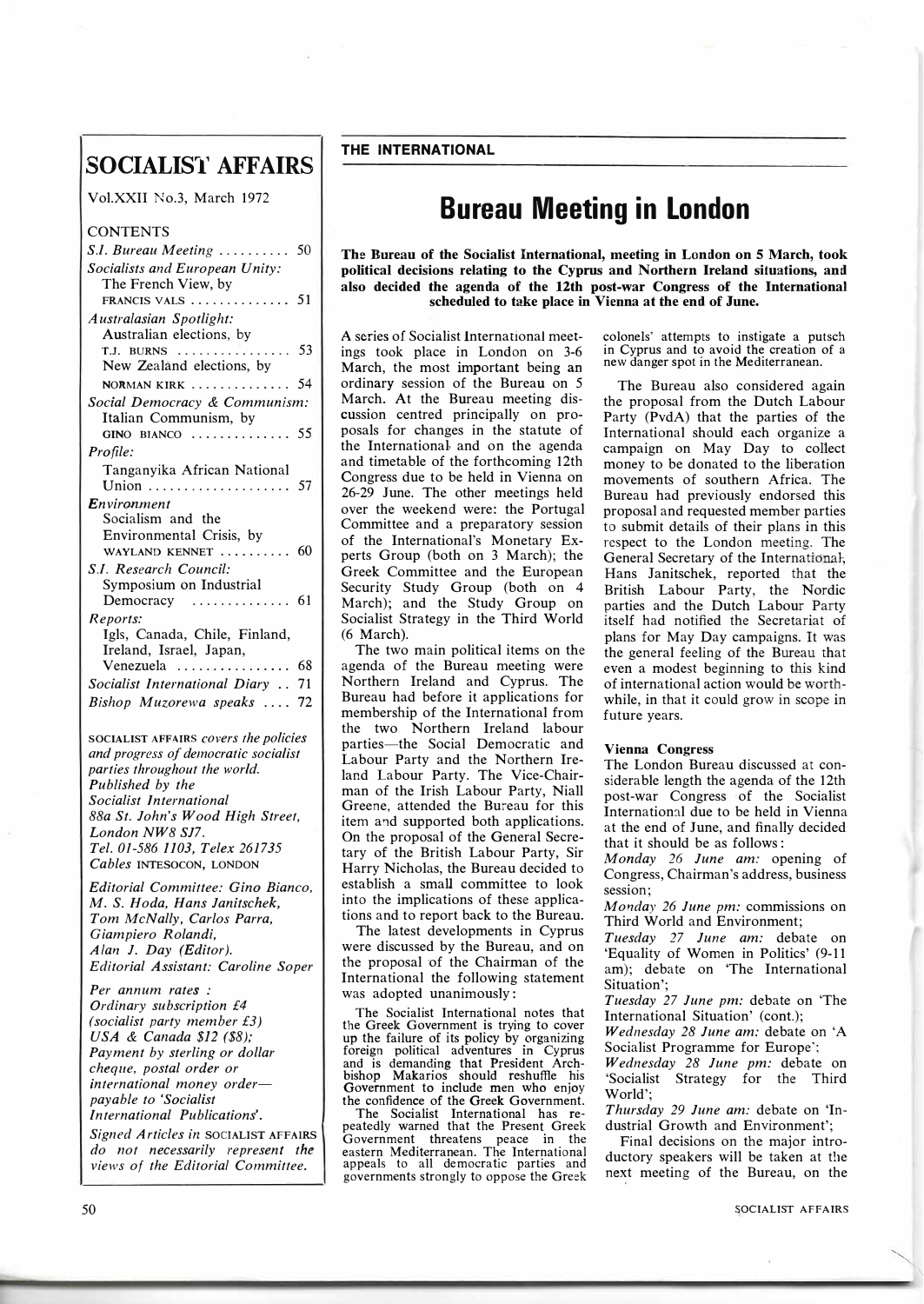## **SOCIALIS1' AFFAIRS**

Vol.XXII No.3, March 1972

| <b>CONTENTS</b>                                   |    |
|---------------------------------------------------|----|
| S.I. Bureau Meeting                               | 50 |
| Socialists and European Unity:                    |    |
| The French View, by                               |    |
| FRANCIS VALS $\dots \dots \dots \dots$ 51         |    |
| Australasian Spotlight:                           |    |
| Australian elections, by                          |    |
|                                                   |    |
| New Zealand elections, by                         |    |
| <b>NORMAN KIRK</b> 54                             |    |
| Social Democracy & Communism:                     |    |
| Italian Communism, by                             |    |
| $GINO$ $BIANCO$                                   | 55 |
| Profile:                                          |    |
| Tanganyika African National                       |    |
|                                                   |    |
| <b>Environment</b><br>Socialism and the           |    |
| Environmental Crisis, by                          |    |
| WAYLAND KENNET<br>$\cdots \cdots 60$              |    |
| S.I. Research Council:                            |    |
| Symposium on Industrial                           |    |
| Democracy<br>.                                    | 61 |
| Reports:                                          |    |
| Igls, Canada, Chile, Finland,                     |    |
| Ireland, Israel, Japan,                           |    |
| Venezuela $\ldots \ldots \ldots \ldots \ldots$ 68 |    |
| Socialist International Diary 71                  |    |
| Bishop Muzorewa speaks  72                        |    |
|                                                   |    |
| SOCIALIST AFFAIRS covers the policies             |    |
| and progress of democratic socialist              |    |
| parties throughout the world.                     |    |
| Published by the                                  |    |
| Socialist International                           |    |
| 88a St. John's Wood High Street,                  |    |
| London NW8 SJ7.                                   |    |
| Tel. 01-586 1103, Telex 261735                    |    |
| Cables INTESOCON, LONDON                          |    |

*Editorial Committee: Gino Bianco, M.* S. *Hoda, Hans Janitschek, Tom McNally, Carlos Parra, Giampiero Rolandi, Alan J. Day (Editor). Editorial Assistant: Caroline Soper*

*Per annum rates : Ordinary subscription £4 ( socialist party member £3) USA* & *Canada \$12 (\$8); Payment by sterling or dollar cheque, postal order or international money orderpayable to 'Socialist International Publications'.* 

*Signed Articles in* **SOCIALIST AFFAIRS**  *do not necessarily represent the views of the Editorial Committee.* 

## **Bureau Meeting in London**

**The Bureau of the Socialist International, meeting in London on 5 March, took political decisions relating to the Cyprus and Northern Ireland situations, and also decided the agenda of the 12th post-war Congress of the International scheduled to take place in Vienna at the end of June.** 

A series of Socialist International meetings took place in London on 3-6 March, the most important being an ordinary session of the Bureau on 5 March. At the Bureau meeting discussion centred principally on proposals for changes in the statute of the International, and on the agenda and timetable of the forthcoming 12th Congress due to be held in Vienna on 26-29 June. The other meetings held over the weekend were: the Portugal Committee and a preparatory session of the International's Monetary Experts Group (both on 3 March); the Greek Committee and the European Security Study Group (both on 4 March); and the Study Group on Socialist Strategy in the Third World (6 March).

The two main political items on the agenda of the Bureau meeting were Northern Ireland and Cyprus. The Bureau had before it applications for membership of the International from the two Northern Ireland labour parties-the Social Democratic and Labour Party and the Northern Ireland Labour Party. The Vice-Chairman of the Irish Labour Party, Niall Greene, attended the Bureau for this item and supported both applications. On the proposal of the General Secretary of the British Labour Party, Sir Harry Nicholas, the Bureau decided to establish a small committee to look into the implications of these applications and to report back to the Bureau.

The latest developments in Cyprus were discussed by the Bureau, and on the proposal of the Chairman of the International the following statement was adopted unanimously :

The Socialist International notes that the Greek Government is trying to cover up the failure of its policy by organizing foreign political adventures in Cyprus and is demanding that President Archbishop Makarios should reshuffle his Government to include men who enjoy the confidence of the Greek Government.

The Socialist International has repeatedly warned that the Present. Greek Government threatens peace m the eastern Mediterranean. The International appeals to all democratic parties and governments strongly to oppose the Greek colonels' attempts to instigate a putsch in Cyprus and to avoid the creation of a new danger spot in the Mediterranean.

The Bureau also considered again the proposal from the Dutch Labour Party (PvdA) that the parties of the International should each organize a campaign on May Day to collect money to be donated to the liberation movements of southern Africa. The Bureau had previously endorsed this proposal and requested member parties to submit details of their plans in this respect to the London meeting. The General Secretary of the International. Hans Janitschek, reported that the British Labour Party, the Nordic parties and the Dutch Labour Party itself had notified the Secretariat of plans for May Day campaigns. It was the general feeling of the Bureau that even a modest beginning to this kind of international action would be worthwhile, in that it could grow in scope in future years.

## **Vienna Congress**

The London Bureau discussed at considerable length the agenda of the 12th post-war Congress of the Socialist International due to be held in Vienna at the end of June, and finally decided that it should be as follows:

*Monday 26 June am:* opening of Congress, Chairman's address, business session;

*Monday 26 June pm:* commissions on Third World and Environment;

*Tuesday 27 June am:* debate on 'Equality of Women in Politics' (9-11 am); debate on 'The International Situation';

*Tuesday 27 June pm:* debate on The International Situation' (cont.);

*Wednesday 28 June am:* debate on 'A Socialist Programme for Europe';

*Wednesday 28 June pm:* debate on 'Socialist Strategy for the Third World';

*Thursday 29 June am:* debate on 'Industrial Growth and Environment';

Final decisions on the major introductory speakers will be taken at the next meeting of the Bureau, on the